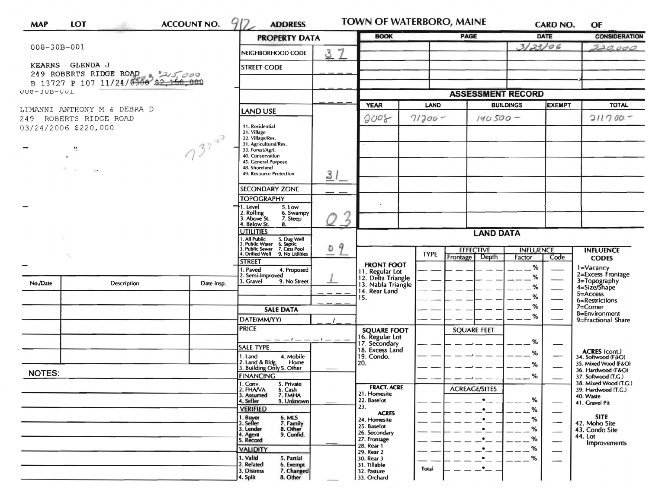| <b>MAP</b>                                     | LOT                                          | <b>ACCOUNT NO.</b> | 912<br><b>ADDRESS</b>                                                                                                                               |             | TOWN OF WATERBORO, MAINE                            |                                 |                          |                  | <b>CARD NO.</b>             | OF                                           |
|------------------------------------------------|----------------------------------------------|--------------------|-----------------------------------------------------------------------------------------------------------------------------------------------------|-------------|-----------------------------------------------------|---------------------------------|--------------------------|------------------|-----------------------------|----------------------------------------------|
|                                                |                                              |                    | <b>PROPERTY DATA</b>                                                                                                                                |             | <b>BOOK</b>                                         |                                 | <b>PAGE</b>              | DATE             |                             | <b>CONSIDERATION</b>                         |
| $008 - 30B - 001$                              |                                              |                    | NEIGHBORHOOD CODE                                                                                                                                   | 37          |                                                     |                                 |                          | 3/23/06          |                             | 220,000                                      |
|                                                | KEARNS GLENDA J                              |                    | <b>STREET CODE</b>                                                                                                                                  |             |                                                     |                                 |                          |                  |                             |                                              |
|                                                | 249 ROBERTS RIDGE ROAD & 215,000             |                    |                                                                                                                                                     |             |                                                     |                                 |                          |                  |                             |                                              |
| UUU-JUB-UUL                                    | B 13727 P 107 11/24/0300 \$2,150,000         |                    |                                                                                                                                                     |             |                                                     |                                 |                          |                  |                             |                                              |
|                                                |                                              |                    |                                                                                                                                                     |             |                                                     |                                 | <b>ASSESSMENT RECORD</b> |                  |                             |                                              |
|                                                | LIMANNI ANTHONY M & DEBRA D                  | <b>LAND USE</b>    |                                                                                                                                                     | <b>YEAR</b> |                                                     | <b>LAND</b><br><b>BUILDINGS</b> |                          | <b>EXEMPT</b>    | <b>TOTAL</b>                |                                              |
| 249 ROBERTS RIDGE ROAD<br>03/24/2006 \$220,000 |                                              |                    | 11. Residential                                                                                                                                     |             | 2008                                                | $71200 -$                       | $140500 -$               |                  |                             | $211700 -$                                   |
|                                                |                                              |                    | 21. Village<br>22. Village/Res.                                                                                                                     |             |                                                     |                                 |                          |                  |                             |                                              |
|                                                | 慧                                            | $37^{30}$          | 31. Agricultural/Res.<br>33. Forest/Agri.                                                                                                           |             |                                                     |                                 |                          |                  |                             |                                              |
|                                                |                                              |                    | 40. Conservation                                                                                                                                    |             |                                                     |                                 |                          |                  |                             |                                              |
|                                                | $\mathcal{N}=\mathcal{N}$<br>$\mathcal{C}$ . |                    | 45. General Purpose<br>48. Shoreland                                                                                                                |             |                                                     |                                 |                          |                  |                             |                                              |
|                                                |                                              |                    | 49. Resource Protection                                                                                                                             | 31          |                                                     |                                 |                          |                  |                             |                                              |
|                                                |                                              |                    | <b>SECONDARY ZONE</b>                                                                                                                               |             |                                                     |                                 |                          |                  |                             |                                              |
|                                                |                                              |                    | <b>TOPOGRAPHY</b><br>1. Level<br>5. Low                                                                                                             |             |                                                     |                                 |                          |                  |                             |                                              |
|                                                |                                              |                    | 2. Rolling<br>3. Above St.<br>6. Swampy<br>7. Steep                                                                                                 |             |                                                     |                                 |                          |                  |                             |                                              |
|                                                |                                              |                    | 4. Below St.<br>8.<br><b>UTILITIES</b>                                                                                                              |             |                                                     |                                 |                          |                  |                             |                                              |
|                                                |                                              |                    | 1. All Public 5. Dug Well<br>2. Public Water 6. Septic<br>3. Public Sewer 7. Cess Pool<br>9<br>$\overline{O}$<br>4. Drilled Well<br>9. No Utilities |             | <b>LAND DATA</b>                                    |                                 |                          |                  |                             |                                              |
|                                                |                                              |                    |                                                                                                                                                     |             |                                                     | <b>TYPE</b>                     | <b>EFFECTIVE</b>         | <b>INFLUENCE</b> |                             | <b>INFLUENCE</b>                             |
|                                                | ×.                                           |                    | <b>STREET</b>                                                                                                                                       |             | <b>FRONT FOOT</b>                                   |                                 | Depth<br>Frontage        | Factor           | Code                        | <b>CODES</b>                                 |
|                                                |                                              |                    | 4. Proposed<br>. Paved<br>Semi-Improved                                                                                                             |             | 11. Regular Lot<br>12. Delta Triangle               |                                 |                          | $\%$<br>%        |                             | 1=Vacancy<br>2=Excess Frontage               |
| No./Date                                       | <b>Description</b>                           | Date Insp.         | 3. Gravel<br>9. No Street                                                                                                                           |             | 13. Nabla Triangle                                  |                                 |                          | %                |                             | 3=Topography<br>4=Size/Shape                 |
|                                                |                                              |                    |                                                                                                                                                     |             | 14. Rear Land<br>15.                                |                                 |                          | %                |                             | $5 =$ Access<br>6=Restrictions               |
|                                                |                                              |                    | <b>SALE DATA</b>                                                                                                                                    |             |                                                     |                                 |                          | %                |                             | 7=Corner<br>8=Environment                    |
|                                                |                                              |                    | DATE(MM/YY)                                                                                                                                         |             |                                                     |                                 |                          | %                |                             | 9=Fractional Share                           |
|                                                |                                              |                    | <b>PRICE</b>                                                                                                                                        |             | <b>SQUARE FOOT</b>                                  |                                 | <b>SQUARE FEET</b>       |                  |                             |                                              |
|                                                |                                              |                    | — — — <sup>—</sup> — — — / — — —<br><b>SALE TYPE</b>                                                                                                |             | 16. Regular Lot<br>17. Secondary<br>18. Excess Land |                                 |                          | %                |                             |                                              |
|                                                |                                              |                    | 4. Mobile<br>1. Land                                                                                                                                |             | 19. Condo.                                          |                                 |                          | %                |                             | <b>ACRES</b> (cont.)<br>34. Softwood (F/kO)  |
|                                                |                                              |                    | 2. Land & Bldg. Home<br>3. Building Only 5. Other<br>Home                                                                                           |             | 20.                                                 |                                 |                          | %                |                             | 35. Mixed Wood (F&O)<br>36. Hardwood (F&O)   |
| <b>NOTES:</b>                                  |                                              |                    | <b>FINANCING</b>                                                                                                                                    |             |                                                     |                                 |                          | ℅                |                             | 37. Softwood (T.G.)<br>38. Mixed Wood (T.G.) |
|                                                |                                              |                    | 5. Private<br>1. Conv.<br>2. FHA/VA<br>6. Cash<br>3. Assumed<br>7. FMHA                                                                             |             | <b>FRACT. ACRE</b><br>21. Homesite                  |                                 | <b>ACREAGE/SITES</b>     |                  |                             | 39. Hardwood (T.G.)<br>40. Waste             |
|                                                |                                              |                    | 4. Seller<br>9. Unknown                                                                                                                             |             | 22. Baselot<br>23.                                  |                                 |                          | %                | $\overbrace{\hspace{15em}}$ | 41. Gravel Pit                               |
|                                                |                                              |                    | <b>VERIFIED</b>                                                                                                                                     |             | <b>ACRES</b>                                        |                                 | .∙                       | %<br>℅           |                             | <b>SITE</b>                                  |
|                                                |                                              |                    | 1. Buyer<br>2. Seller<br>6. MLS<br>7. Family<br>8. Other<br>3. Lender                                                                               |             | 24. Homesite<br>25. Baselot                         |                                 | $\bullet$<br>٠           | %                | $\hspace{0.05cm}$           | 42. Moho Site<br>43. Condo Site              |
|                                                |                                              |                    | 9. Confid.<br>4. Agent<br>5. Record                                                                                                                 |             | 26. Secondary<br>27. Frontage                       |                                 |                          | %                | $\hspace{0.05cm}$           | 44. Lot                                      |
|                                                |                                              |                    | <b>VALIDITY</b>                                                                                                                                     |             | 28. Rear 1<br>29. Rear 2                            |                                 | ٠                        | %                |                             | <b>Improvements</b>                          |
|                                                |                                              |                    | 1. Valid<br>5. Partial<br>2. Related<br>6. Exempt                                                                                                   |             | 30. Rear 3<br>31. Tillable                          |                                 |                          | %                |                             |                                              |
|                                                |                                              |                    | 3. Distress<br>7. Changed                                                                                                                           |             | 32. Pasture                                         | Total                           |                          |                  |                             |                                              |